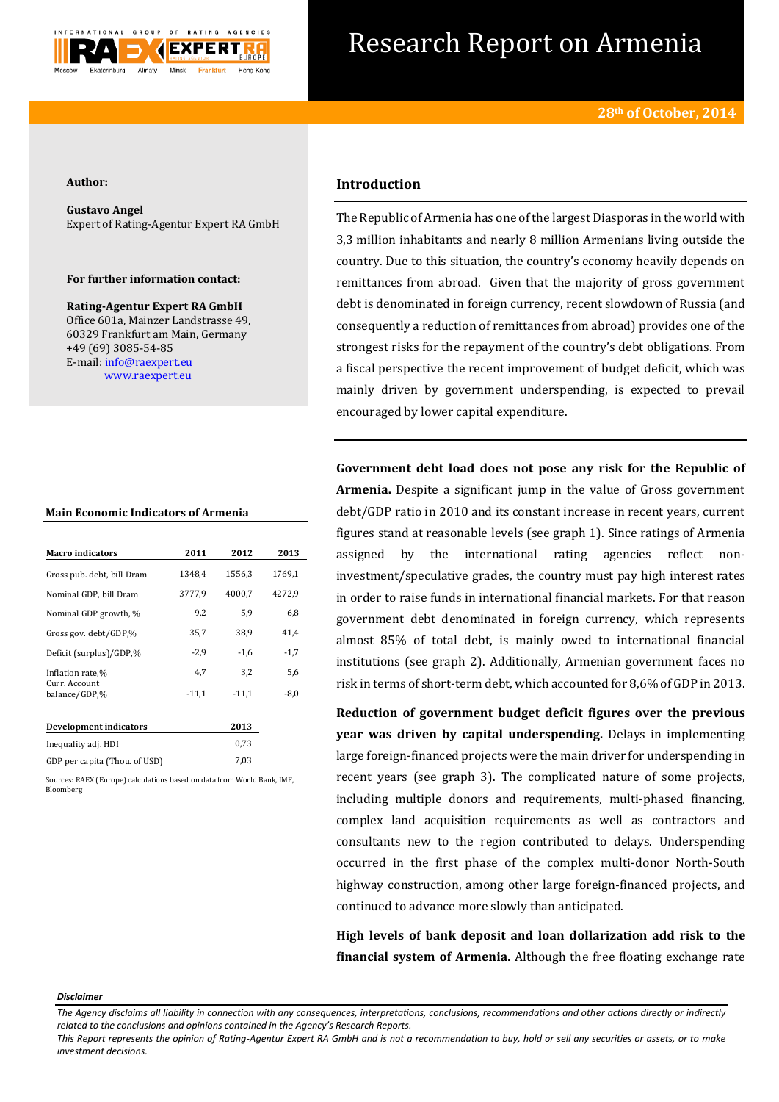

# Research Report on Armenia

#### **Author:**

**Gustavo Angel** Expert of Rating-Agentur Expert RA GmbH

### **For further information contact:**

**Rating-Agentur Expert RA GmbH** Office 601a, Mainzer Landstrasse 49, 60329 Frankfurt am Main, Germany +49 (69) 3085-54-85 E-mail[: info@raexpert.eu](mailto:info@raexpert.eu) [www.raexpert.eu](http://raexpert.eu/)

#### **Main Economic Indicators of Armenia**

| <b>Macro</b> indicators        | 2011    | 2012    | 2013   |
|--------------------------------|---------|---------|--------|
| Gross pub. debt, bill Dram     | 1348,4  | 1556,3  | 1769,1 |
| Nominal GDP, bill Dram         | 3777,9  | 4000,7  | 4272,9 |
| Nominal GDP growth, %          | 9,2     | 5.9     | 6,8    |
| Gross gov. debt/GDP,%          | 35,7    | 38.9    | 41,4   |
| Deficit (surplus)/GDP.%        | $-2,9$  | $-1,6$  | $-1,7$ |
| Inflation rate,%               | 4,7     | 3,2     | 5,6    |
| Curr. Account<br>balance/GDP,% | $-11,1$ | $-11.1$ | $-8,0$ |
| Development indicators         |         | 2013    |        |
| Inequality adj. HDI            |         | 0,73    |        |

| mequanty auj. mpr                     | . |
|---------------------------------------|---|
| 7.03<br>GDP per capita (Thou. of USD) |   |

Sources: RAEX (Europe) calculations based on data from World Bank, IMF, Bloomberg

# **Introduction**

The Republic of Armenia has one of the largest Diasporas in the world with 3,3 million inhabitants and nearly 8 million Armenians living outside the country. Due to this situation, the country's economy heavily depends on remittances from abroad. Given that the majority of gross government debt is denominated in foreign currency, recent slowdown of Russia (and consequently a reduction of remittances from abroad) provides one of the strongest risks for the repayment of the country's debt obligations. From a fiscal perspective the recent improvement of budget deficit, which was mainly driven by government underspending, is expected to prevail encouraged by lower capital expenditure.

**Government debt load does not pose any risk for the Republic of Armenia.** Despite a significant jump in the value of Gross government debt/GDP ratio in 2010 and its constant increase in recent years, current figures stand at reasonable levels (see graph 1). Since ratings of Armenia assigned by the international rating agencies reflect noninvestment/speculative grades, the country must pay high interest rates in order to raise funds in international financial markets. For that reason government debt denominated in foreign currency, which represents almost 85% of total debt, is mainly owed to international financial institutions (see graph 2). Additionally, Armenian government faces no risk in terms of short-term debt, which accounted for 8,6% of GDP in 2013.

**Reduction of government budget deficit figures over the previous year was driven by capital underspending.** Delays in implementing large foreign-financed projects were the main driver for underspending in recent years (see graph 3). The complicated nature of some projects, including multiple donors and requirements, multi-phased financing, complex land acquisition requirements as well as contractors and consultants new to the region contributed to delays. Underspending occurred in the first phase of the complex multi-donor North-South highway construction, among other large foreign-financed projects, and continued to advance more slowly than anticipated.

**High levels of bank deposit and loan dollarization add risk to the financial system of Armenia.** Although the free floating exchange rate

#### *Disclaimer*

*This Report represents the opinion of Rating-Agentur Expert RA GmbH and is not a recommendation to buy, hold or sell any securities or assets, or to make investment decisions.*

*The Agency disclaims all liability in connection with any consequences, interpretations, conclusions, recommendations and other actions directly or indirectly related to the conclusions and opinions contained in the Agency's Research Reports.*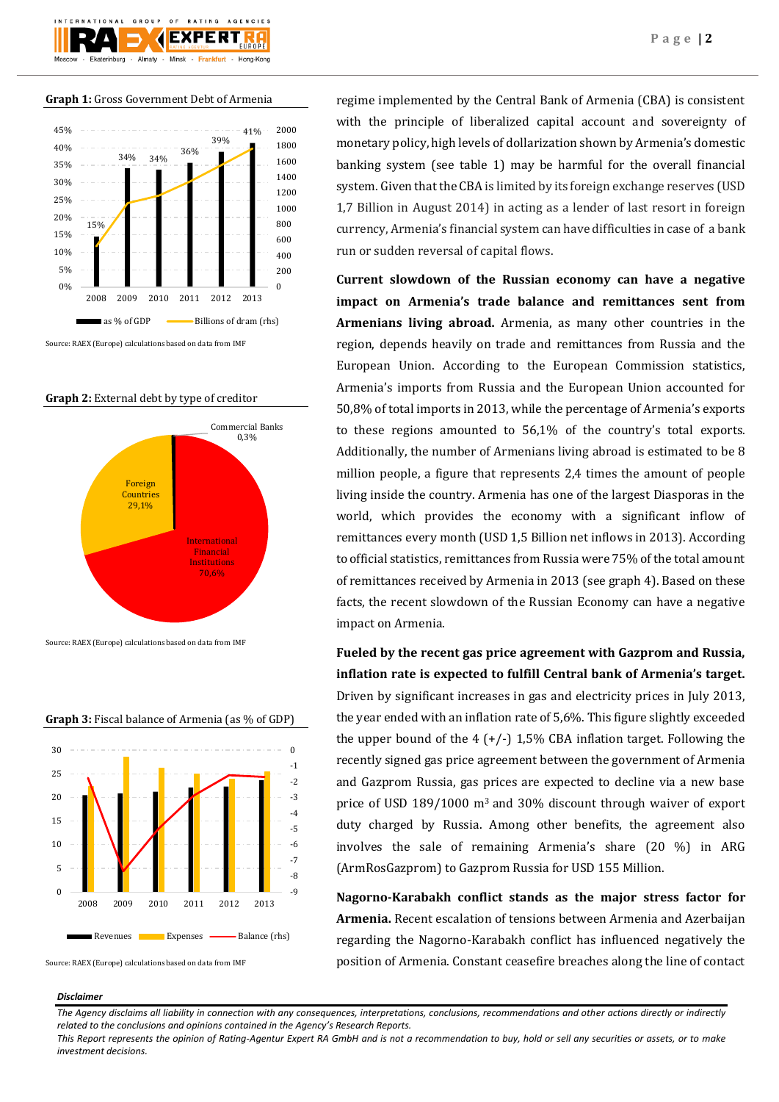

#### **Graph 1:** Gross Government Debt of Armenia



Source: RAEX (Europe) calculations based on data from IMF

## **Graph 2:** External debt by type of creditor



Source: RAEX (Europe) calculations based on data from IMF



**Graph 3:** Fiscal balance of Armenia (as % of GDP)

Source: RAEX (Europe) calculations based on data from IMF

regime implemented by the Central Bank of Armenia (CBA) is consistent with the principle of liberalized capital account and sovereignty of monetary policy, high levels of dollarization shown by Armenia's domestic banking system (see table 1) may be harmful for the overall financial system. Given that the CBA is limited by its foreign exchange reserves (USD 1,7 Billion in August 2014) in acting as a lender of last resort in foreign currency, Armenia's financial system can have difficulties in case of a bank run or sudden reversal of capital flows.

**Current slowdown of the Russian economy can have a negative impact on Armenia's trade balance and remittances sent from Armenians living abroad.** Armenia, as many other countries in the region, depends heavily on trade and remittances from Russia and the European Union. According to the European Commission statistics, Armenia's imports from Russia and the European Union accounted for 50,8% of total imports in 2013, while the percentage of Armenia's exports to these regions amounted to 56,1% of the country's total exports. Additionally, the number of Armenians living abroad is estimated to be 8 million people, a figure that represents 2,4 times the amount of people living inside the country. Armenia has one of the largest Diasporas in the world, which provides the economy with a significant inflow of remittances every month (USD 1,5 Billion net inflows in 2013). According to official statistics, remittances from Russia were 75% of the total amount of remittances received by Armenia in 2013 (see graph 4). Based on these facts, the recent slowdown of the Russian Economy can have a negative impact on Armenia.

**Fueled by the recent gas price agreement with Gazprom and Russia, inflation rate is expected to fulfill Central bank of Armenia's target.**  Driven by significant increases in gas and electricity prices in July 2013, the year ended with an inflation rate of 5,6%. This figure slightly exceeded the upper bound of the 4  $(+/-)$  1,5% CBA inflation target. Following the recently signed gas price agreement between the government of Armenia and Gazprom Russia, gas prices are expected to decline via a new base price of USD 189/1000 m3 and 30% discount through waiver of export duty charged by Russia. Among other benefits, the agreement also involves the sale of remaining Armenia's share (20 %) in ARG (ArmRosGazprom) to Gazprom Russia for USD 155 Million.

**Nagorno-Karabakh conflict stands as the major stress factor for Armenia.** Recent escalation of tensions between Armenia and Azerbaijan regarding the Nagorno-Karabakh conflict has influenced negatively the position of Armenia. Constant ceasefire breaches along the line of contact

#### *Disclaimer*

*The Agency disclaims all liability in connection with any consequences, interpretations, conclusions, recommendations and other actions directly or indirectly related to the conclusions and opinions contained in the Agency's Research Reports.*

*This Report represents the opinion of Rating-Agentur Expert RA GmbH and is not a recommendation to buy, hold or sell any securities or assets, or to make investment decisions.*